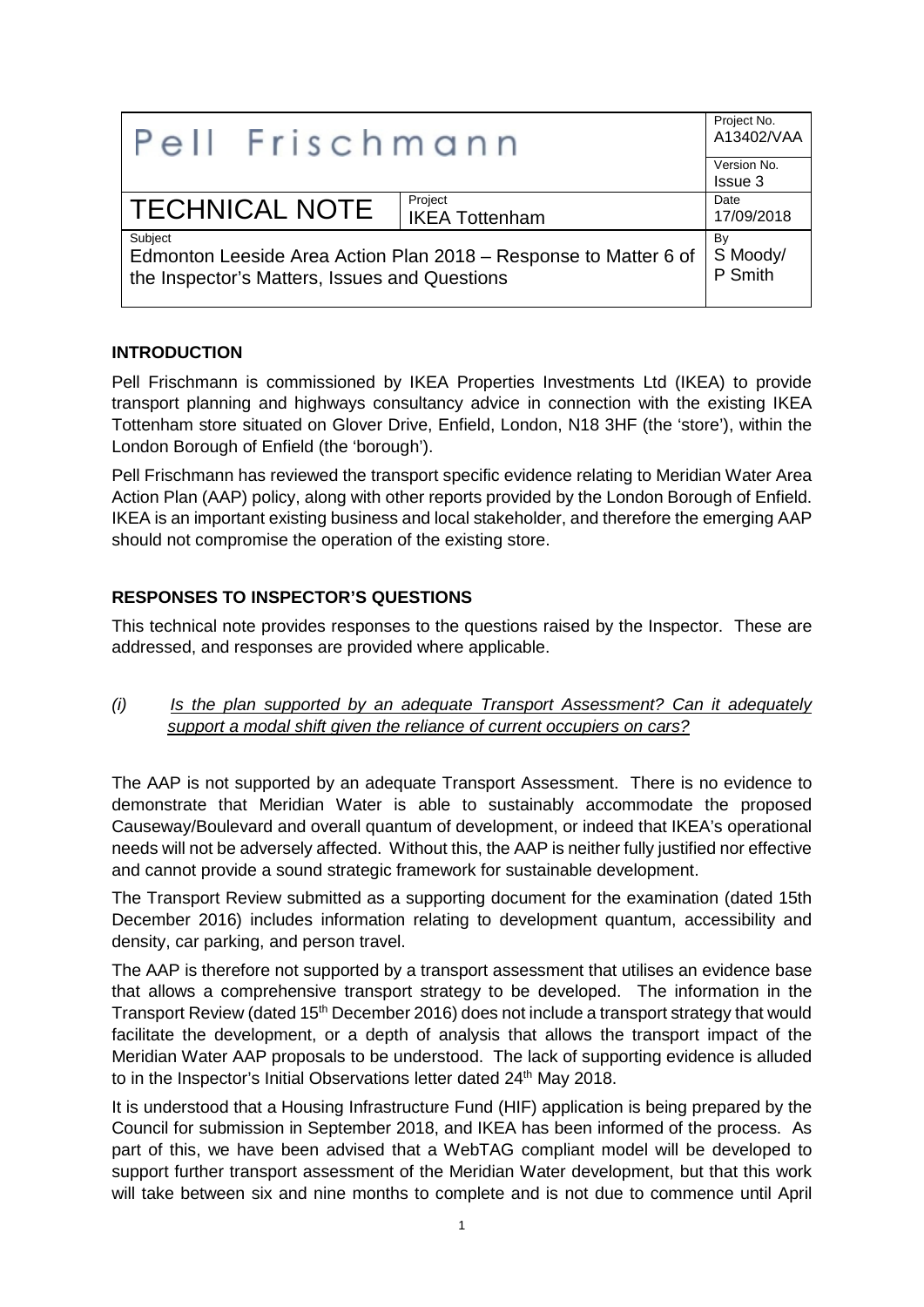| Pell Frischmann                                                                                                              |                       | Project No.<br>A13402/VAA |
|------------------------------------------------------------------------------------------------------------------------------|-----------------------|---------------------------|
|                                                                                                                              |                       | Version No.               |
|                                                                                                                              |                       | Issue 3                   |
| <b>TECHNICAL NOTE</b>                                                                                                        | Project               | Date                      |
|                                                                                                                              | <b>IKEA Tottenham</b> | 17/09/2018                |
| Subject<br>Edmonton Leeside Area Action Plan 2018 - Response to Matter 6 of<br>the Inspector's Matters, Issues and Questions |                       | By<br>S Moody/<br>P Smith |

## **INTRODUCTION**

Pell Frischmann is commissioned by IKEA Properties Investments Ltd (IKEA) to provide transport planning and highways consultancy advice in connection with the existing IKEA Tottenham store situated on Glover Drive, Enfield, London, N18 3HF (the 'store'), within the London Borough of Enfield (the 'borough').

Pell Frischmann has reviewed the transport specific evidence relating to Meridian Water Area Action Plan (AAP) policy, along with other reports provided by the London Borough of Enfield. IKEA is an important existing business and local stakeholder, and therefore the emerging AAP should not compromise the operation of the existing store.

## **RESPONSES TO INSPECTOR'S QUESTIONS**

This technical note provides responses to the questions raised by the Inspector. These are addressed, and responses are provided where applicable.

*(i) Is the plan supported by an adequate Transport Assessment? Can it adequately support a modal shift given the reliance of current occupiers on cars?*

The AAP is not supported by an adequate Transport Assessment. There is no evidence to demonstrate that Meridian Water is able to sustainably accommodate the proposed Causeway/Boulevard and overall quantum of development, or indeed that IKEA's operational needs will not be adversely affected. Without this, the AAP is neither fully justified nor effective and cannot provide a sound strategic framework for sustainable development.

The Transport Review submitted as a supporting document for the examination (dated 15th December 2016) includes information relating to development quantum, accessibility and density, car parking, and person travel.

The AAP is therefore not supported by a transport assessment that utilises an evidence base that allows a comprehensive transport strategy to be developed. The information in the Transport Review (dated 15<sup>th</sup> December 2016) does not include a transport strategy that would facilitate the development, or a depth of analysis that allows the transport impact of the Meridian Water AAP proposals to be understood. The lack of supporting evidence is alluded to in the Inspector's Initial Observations letter dated 24<sup>th</sup> May 2018.

It is understood that a Housing Infrastructure Fund (HIF) application is being prepared by the Council for submission in September 2018, and IKEA has been informed of the process. As part of this, we have been advised that a WebTAG compliant model will be developed to support further transport assessment of the Meridian Water development, but that this work will take between six and nine months to complete and is not due to commence until April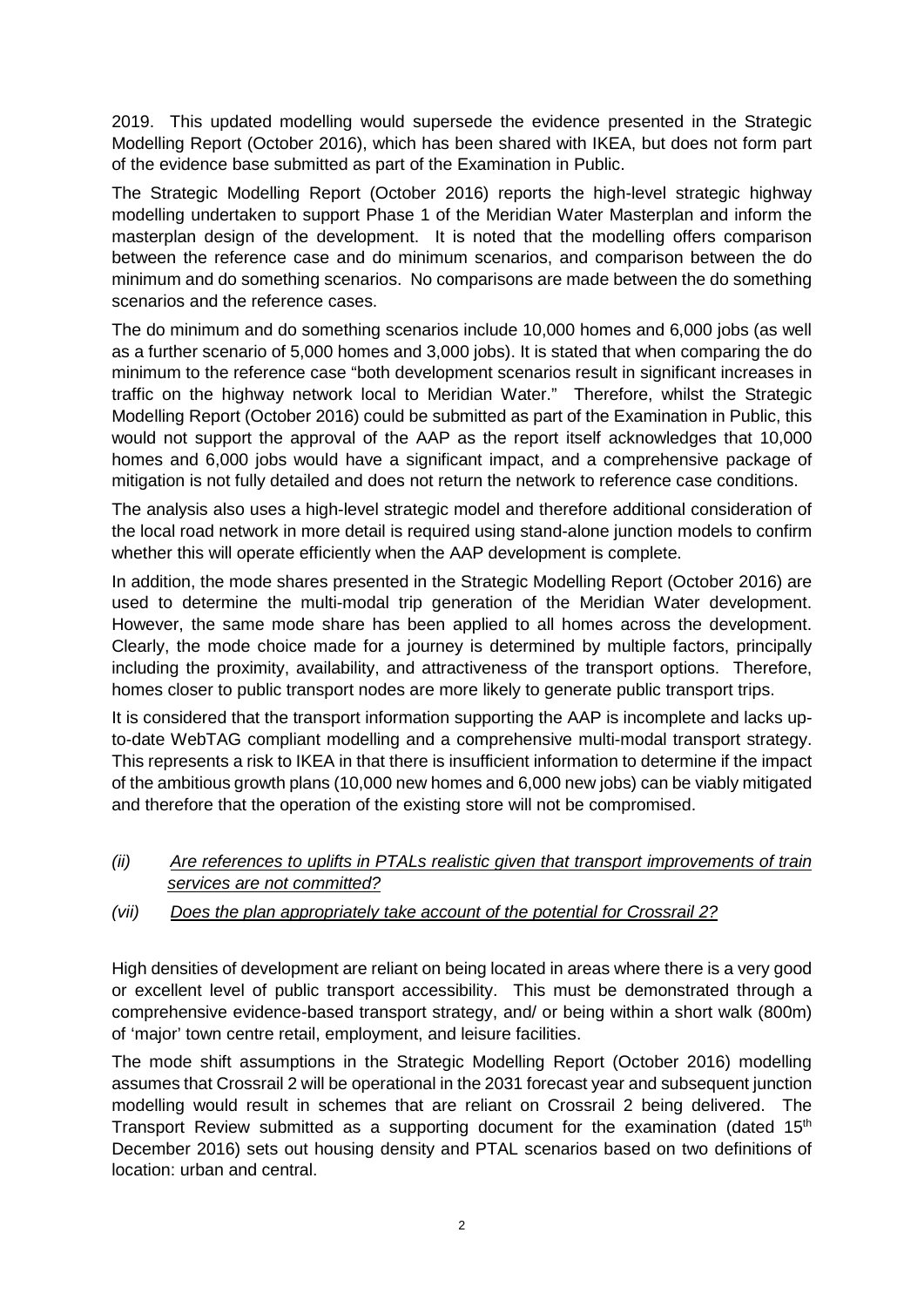2019. This updated modelling would supersede the evidence presented in the Strategic Modelling Report (October 2016), which has been shared with IKEA, but does not form part of the evidence base submitted as part of the Examination in Public.

The Strategic Modelling Report (October 2016) reports the high-level strategic highway modelling undertaken to support Phase 1 of the Meridian Water Masterplan and inform the masterplan design of the development. It is noted that the modelling offers comparison between the reference case and do minimum scenarios, and comparison between the do minimum and do something scenarios. No comparisons are made between the do something scenarios and the reference cases.

The do minimum and do something scenarios include 10,000 homes and 6,000 jobs (as well as a further scenario of 5,000 homes and 3,000 jobs). It is stated that when comparing the do minimum to the reference case "both development scenarios result in significant increases in traffic on the highway network local to Meridian Water." Therefore, whilst the Strategic Modelling Report (October 2016) could be submitted as part of the Examination in Public, this would not support the approval of the AAP as the report itself acknowledges that 10,000 homes and 6,000 jobs would have a significant impact, and a comprehensive package of mitigation is not fully detailed and does not return the network to reference case conditions.

The analysis also uses a high-level strategic model and therefore additional consideration of the local road network in more detail is required using stand-alone junction models to confirm whether this will operate efficiently when the AAP development is complete.

In addition, the mode shares presented in the Strategic Modelling Report (October 2016) are used to determine the multi-modal trip generation of the Meridian Water development. However, the same mode share has been applied to all homes across the development. Clearly, the mode choice made for a journey is determined by multiple factors, principally including the proximity, availability, and attractiveness of the transport options. Therefore, homes closer to public transport nodes are more likely to generate public transport trips.

It is considered that the transport information supporting the AAP is incomplete and lacks upto-date WebTAG compliant modelling and a comprehensive multi-modal transport strategy. This represents a risk to IKEA in that there is insufficient information to determine if the impact of the ambitious growth plans (10,000 new homes and 6,000 new jobs) can be viably mitigated and therefore that the operation of the existing store will not be compromised.

- *(ii) Are references to uplifts in PTALs realistic given that transport improvements of train services are not committed?*
- *(vii) Does the plan appropriately take account of the potential for Crossrail 2?*

High densities of development are reliant on being located in areas where there is a very good or excellent level of public transport accessibility. This must be demonstrated through a comprehensive evidence-based transport strategy, and/ or being within a short walk (800m) of 'major' town centre retail, employment, and leisure facilities.

The mode shift assumptions in the Strategic Modelling Report (October 2016) modelling assumes that Crossrail 2 will be operational in the 2031 forecast year and subsequent junction modelling would result in schemes that are reliant on Crossrail 2 being delivered. The Transport Review submitted as a supporting document for the examination (dated  $15<sup>th</sup>$ December 2016) sets out housing density and PTAL scenarios based on two definitions of location: urban and central.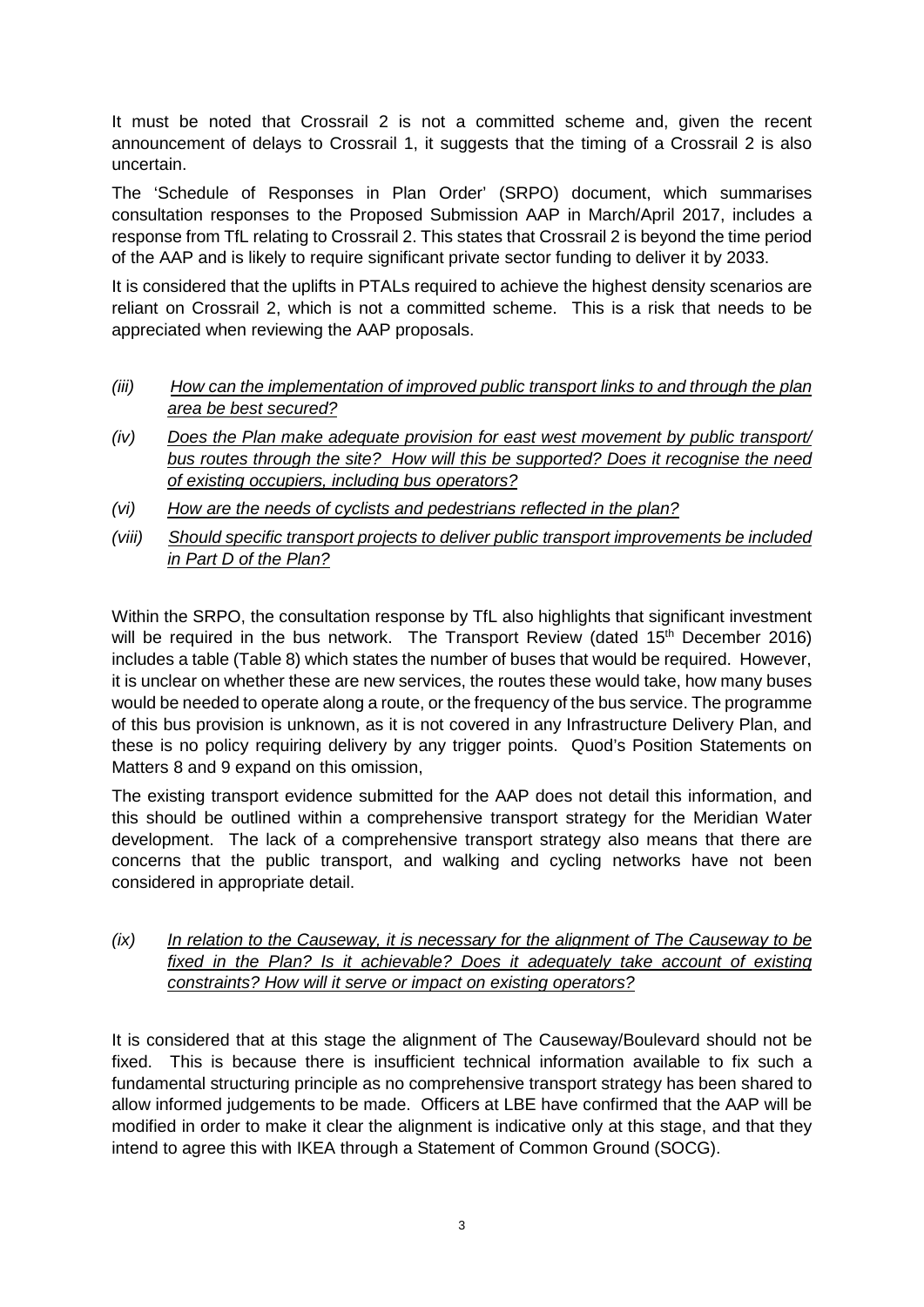It must be noted that Crossrail 2 is not a committed scheme and, given the recent announcement of delays to Crossrail 1, it suggests that the timing of a Crossrail 2 is also uncertain.

The 'Schedule of Responses in Plan Order' (SRPO) document, which summarises consultation responses to the Proposed Submission AAP in March/April 2017, includes a response from TfL relating to Crossrail 2. This states that Crossrail 2 is beyond the time period of the AAP and is likely to require significant private sector funding to deliver it by 2033.

It is considered that the uplifts in PTALs required to achieve the highest density scenarios are reliant on Crossrail 2, which is not a committed scheme. This is a risk that needs to be appreciated when reviewing the AAP proposals.

- *(iii) How can the implementation of improved public transport links to and through the plan area be best secured?*
- *(iv) Does the Plan make adequate provision for east west movement by public transport/ bus routes through the site? How will this be supported? Does it recognise the need of existing occupiers, including bus operators?*
- *(vi) How are the needs of cyclists and pedestrians reflected in the plan?*
- *(viii) Should specific transport projects to deliver public transport improvements be included in Part D of the Plan?*

Within the SRPO, the consultation response by TfL also highlights that significant investment will be required in the bus network. The Transport Review (dated 15<sup>th</sup> December 2016) includes a table (Table 8) which states the number of buses that would be required. However, it is unclear on whether these are new services, the routes these would take, how many buses would be needed to operate along a route, or the frequency of the bus service. The programme of this bus provision is unknown, as it is not covered in any Infrastructure Delivery Plan, and these is no policy requiring delivery by any trigger points. Quod's Position Statements on Matters 8 and 9 expand on this omission,

The existing transport evidence submitted for the AAP does not detail this information, and this should be outlined within a comprehensive transport strategy for the Meridian Water development. The lack of a comprehensive transport strategy also means that there are concerns that the public transport, and walking and cycling networks have not been considered in appropriate detail.

*(ix) In relation to the Causeway, it is necessary for the alignment of The Causeway to be fixed in the Plan? Is it achievable? Does it adequately take account of existing constraints? How will it serve or impact on existing operators?*

It is considered that at this stage the alignment of The Causeway/Boulevard should not be fixed. This is because there is insufficient technical information available to fix such a fundamental structuring principle as no comprehensive transport strategy has been shared to allow informed judgements to be made. Officers at LBE have confirmed that the AAP will be modified in order to make it clear the alignment is indicative only at this stage, and that they intend to agree this with IKEA through a Statement of Common Ground (SOCG).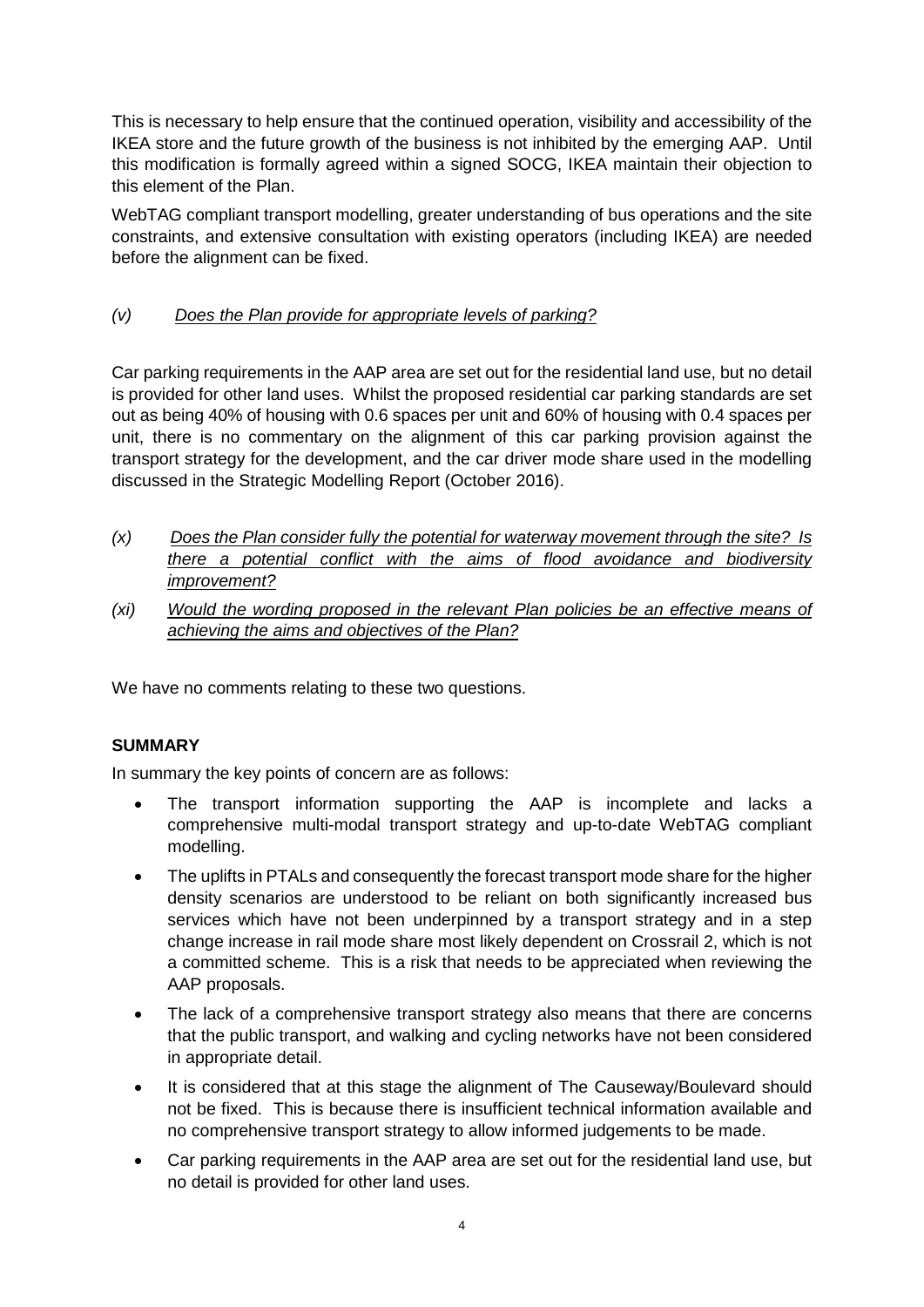This is necessary to help ensure that the continued operation, visibility and accessibility of the IKEA store and the future growth of the business is not inhibited by the emerging AAP. Until this modification is formally agreed within a signed SOCG, IKEA maintain their objection to this element of the Plan.

WebTAG compliant transport modelling, greater understanding of bus operations and the site constraints, and extensive consultation with existing operators (including IKEA) are needed before the alignment can be fixed.

## *(v) Does the Plan provide for appropriate levels of parking?*

Car parking requirements in the AAP area are set out for the residential land use, but no detail is provided for other land uses. Whilst the proposed residential car parking standards are set out as being 40% of housing with 0.6 spaces per unit and 60% of housing with 0.4 spaces per unit, there is no commentary on the alignment of this car parking provision against the transport strategy for the development, and the car driver mode share used in the modelling discussed in the Strategic Modelling Report (October 2016).

- *(x) Does the Plan consider fully the potential for waterway movement through the site? Is there a potential conflict with the aims of flood avoidance and biodiversity improvement?*
- *(xi) Would the wording proposed in the relevant Plan policies be an effective means of achieving the aims and objectives of the Plan?*

We have no comments relating to these two questions.

## **SUMMARY**

In summary the key points of concern are as follows:

- The transport information supporting the AAP is incomplete and lacks a comprehensive multi-modal transport strategy and up-to-date WebTAG compliant modelling.
- The uplifts in PTALs and consequently the forecast transport mode share for the higher density scenarios are understood to be reliant on both significantly increased bus services which have not been underpinned by a transport strategy and in a step change increase in rail mode share most likely dependent on Crossrail 2, which is not a committed scheme. This is a risk that needs to be appreciated when reviewing the AAP proposals.
- The lack of a comprehensive transport strategy also means that there are concerns that the public transport, and walking and cycling networks have not been considered in appropriate detail.
- It is considered that at this stage the alignment of The Causeway/Boulevard should not be fixed. This is because there is insufficient technical information available and no comprehensive transport strategy to allow informed judgements to be made.
- Car parking requirements in the AAP area are set out for the residential land use, but no detail is provided for other land uses.